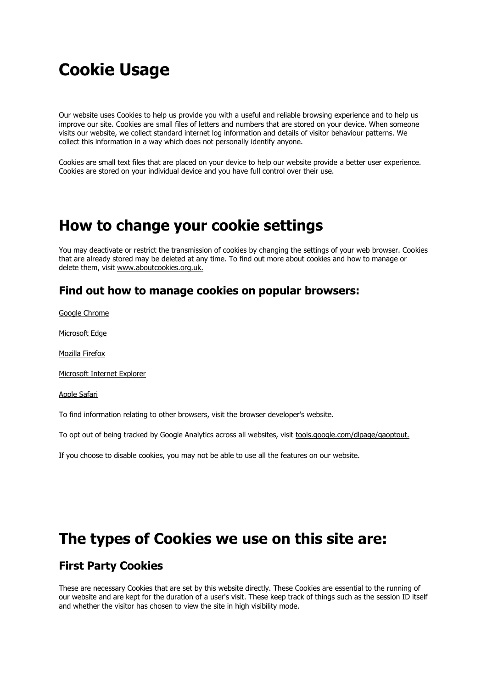# **Cookie Usage**

Our website uses Cookies to help us provide you with a useful and reliable browsing experience and to help us improve our site. Cookies are small files of letters and numbers that are stored on your device. When someone visits our website, we collect standard internet log information and details of visitor behaviour patterns. We collect this information in a way which does not personally identify anyone.

Cookies are small text files that are placed on your device to help our website provide a better user experience. Cookies are stored on your individual device and you have full control over their use.

## **How to change your cookie settings**

You may deactivate or restrict the transmission of cookies by changing the settings of your web browser. Cookies that are already stored may be deleted at any time. To find out more about cookies and how to manage or delete them, visit [www.aboutcookies.org.uk.](http://www.aboutcookies.org.uk/)

### **Find out how to manage cookies on popular browsers:**

[Google Chrome](https://support.google.com/accounts/answer/61416?co=GENIE.Platform%3DDesktop&hl=en)

[Microsoft Edge](https://privacy.microsoft.com/en-us/windows-10-microsoft-edge-and-privacy)

[Mozilla Firefox](https://support.mozilla.org/en-US/kb/enable-and-disable-cookies-website-preferences)

Microsoft [Internet Explorer](https://support.microsoft.com/en-gb/help/17442/windows-internet-explorer-delete-manage-cookies)

[Apple Safari](https://support.apple.com/kb/ph21411?locale=en_US)

To find information relating to other browsers, visit the browser developer's website.

To opt out of being tracked by Google Analytics across all websites, visit [tools.google.com/dlpage/gaoptout.](http://tools.google.com/dlpage/gaoptout)

If you choose to disable cookies, you may not be able to use all the features on our website.

## **The types of Cookies we use on this site are:**

### **First Party Cookies**

These are necessary Cookies that are set by this website directly. These Cookies are essential to the running of our website and are kept for the duration of a user's visit. These keep track of things such as the session ID itself and whether the visitor has chosen to view the site in high visibility mode.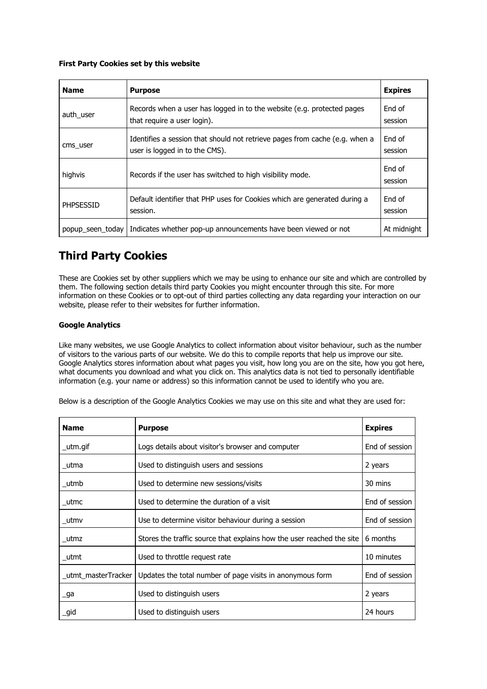#### **First Party Cookies set by this website**

| <b>Name</b>      | <b>Purpose</b>                                                                                                | <b>Expires</b>    |
|------------------|---------------------------------------------------------------------------------------------------------------|-------------------|
| auth user        | Records when a user has logged in to the website (e.g. protected pages<br>that require a user login).         | End of<br>session |
| cms user         | Identifies a session that should not retrieve pages from cache (e.g. when a<br>user is logged in to the CMS). | End of<br>session |
| highvis          | Records if the user has switched to high visibility mode.                                                     | End of<br>session |
| <b>PHPSESSID</b> | Default identifier that PHP uses for Cookies which are generated during a<br>session.                         | End of<br>session |
| popup seen today | Indicates whether pop-up announcements have been viewed or not                                                | At midnight       |

## **Third Party Cookies**

These are Cookies set by other suppliers which we may be using to enhance our site and which are controlled by them. The following section details third party Cookies you might encounter through this site. For more information on these Cookies or to opt-out of third parties collecting any data regarding your interaction on our website, please refer to their websites for further information.

### **Google Analytics**

Like many websites, we use Google Analytics to collect information about visitor behaviour, such as the number of visitors to the various parts of our website. We do this to compile reports that help us improve our site. Google Analytics stores information about what pages you visit, how long you are on the site, how you got here, what documents you download and what you click on. This analytics data is not tied to personally identifiable information (e.g. your name or address) so this information cannot be used to identify who you are.

Below is a description of the Google Analytics Cookies we may use on this site and what they are used for:

| <b>Name</b>        | <b>Purpose</b>                                                        | <b>Expires</b> |
|--------------------|-----------------------------------------------------------------------|----------------|
| _utm.gif           | Logs details about visitor's browser and computer                     | End of session |
| utma               | Used to distinguish users and sessions                                | 2 years        |
| utmb               | Used to determine new sessions/visits                                 | 30 mins        |
| utmc               | Used to determine the duration of a visit                             | End of session |
| utmv               | Use to determine visitor behaviour during a session                   | End of session |
| utmz               | Stores the traffic source that explains how the user reached the site | 6 months       |
| utmt               | Used to throttle request rate                                         | 10 minutes     |
| utmt masterTracker | Updates the total number of page visits in anonymous form             | End of session |
| _ga                | Used to distinguish users                                             | 2 years        |
| _gid               | Used to distinguish users                                             | 24 hours       |